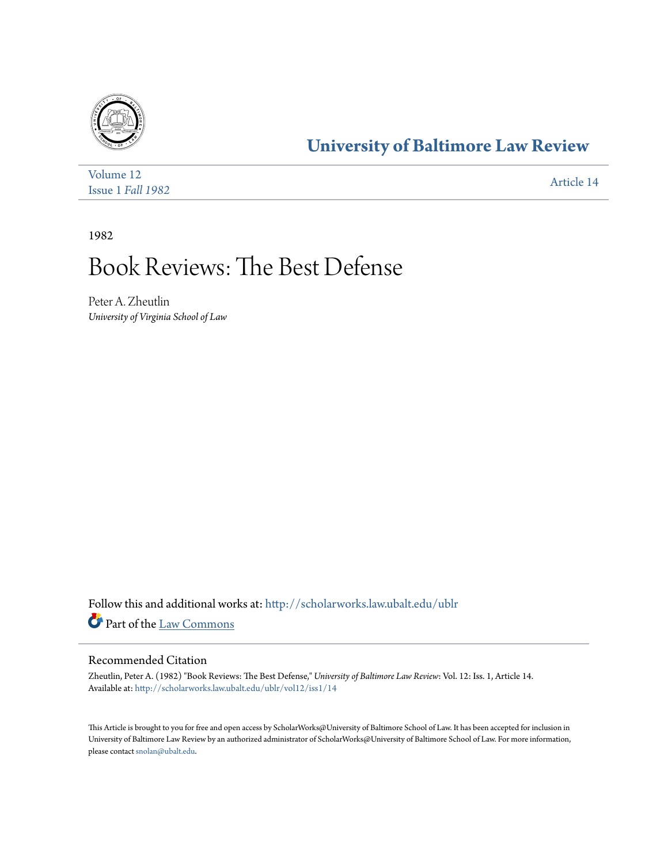

## **[University of Baltimore Law Review](http://scholarworks.law.ubalt.edu/ublr?utm_source=scholarworks.law.ubalt.edu%2Fublr%2Fvol12%2Fiss1%2F14&utm_medium=PDF&utm_campaign=PDFCoverPages)**

| Volume 12         | Article 14 |
|-------------------|------------|
| Issue 1 Fall 1982 |            |

1982

## Book Reviews: The Best Defense

Peter A. Zheutlin *University of Virginia School of Law*

Follow this and additional works at: [http://scholarworks.law.ubalt.edu/ublr](http://scholarworks.law.ubalt.edu/ublr?utm_source=scholarworks.law.ubalt.edu%2Fublr%2Fvol12%2Fiss1%2F14&utm_medium=PDF&utm_campaign=PDFCoverPages) Part of the [Law Commons](http://network.bepress.com/hgg/discipline/578?utm_source=scholarworks.law.ubalt.edu%2Fublr%2Fvol12%2Fiss1%2F14&utm_medium=PDF&utm_campaign=PDFCoverPages)

## Recommended Citation

Zheutlin, Peter A. (1982) "Book Reviews: The Best Defense," *University of Baltimore Law Review*: Vol. 12: Iss. 1, Article 14. Available at: [http://scholarworks.law.ubalt.edu/ublr/vol12/iss1/14](http://scholarworks.law.ubalt.edu/ublr/vol12/iss1/14?utm_source=scholarworks.law.ubalt.edu%2Fublr%2Fvol12%2Fiss1%2F14&utm_medium=PDF&utm_campaign=PDFCoverPages)

This Article is brought to you for free and open access by ScholarWorks@University of Baltimore School of Law. It has been accepted for inclusion in University of Baltimore Law Review by an authorized administrator of ScholarWorks@University of Baltimore School of Law. For more information, please contact [snolan@ubalt.edu.](mailto:snolan@ubalt.edu)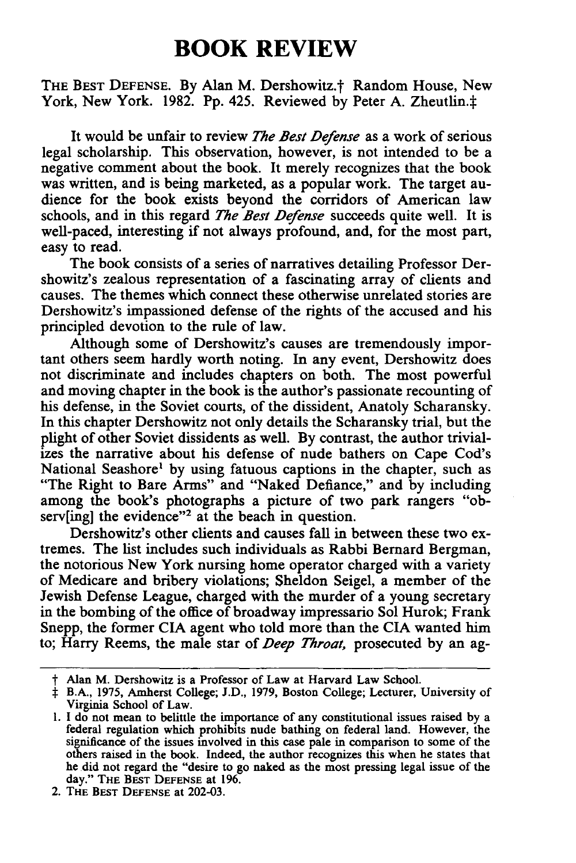## **BOOK REVIEW**

THE BEST DEFENSE. By Alan M. Dershowitz.<sup>†</sup> Random House, New York, New York. 1982. Pp. 425. Reviewed by Peter A. Zheutlin. $\ddagger$ 

It would be unfair to review *The Best Defense* as a work of serious legal scholarship. This observation, however, is not intended to be a negative comment about the book. It merely recognizes that the book was written, and is being marketed, as a popular work. The target audience for the book exists beyond the corridors of American law schools, and in this regard *The Best Defense* succeeds quite well. It is well-paced, interesting if not always profound, and, for the most part, easy to read.

The book consists of a series of narratives detailing Professor Dershowitz's zealous representation of a fascinating array of clients and causes. The themes which connect these otherwise unrelated stories are Dershowitz's impassioned defense of the rights of the accused and his principled devotion to the rule of law.

Although some of Dershowitz's causes are tremendously important others seem hardly worth noting. In any event, Dershowitz does not discriminate and includes chapters on both. The most powerful and moving chapter in the book is the author's passionate recounting of his defense, in the Soviet courts, of the dissident, Anatoly Scharansky. In this chapter Dershowitz not only details the Scharansky trial, but the plight of other Soviet dissidents as well. **By** contrast, the author trivializes the narrative about his defense of nude bathers on Cape Cod's National Seashore' **by** using fatuous captions in the chapter, such as "The Right to Bare Arms" and "Naked Defiance," and **by** including among the book's photographs a picture of two park rangers "observ[ing] the evidence"<sup>2</sup> at the beach in question.

Dershowitz's other clients and causes fall in between these two extremes. The list includes such individuals as Rabbi Bernard Bergman, the notorious New York nursing home operator charged with a variety of Medicare and bribery violations; Sheldon Seigel, a member of the Jewish Defense League, charged with the murder of a young secretary in the bombing of the office of broadway impressario Sol Hurok; Frank Snepp, the former **CIA** agent who told more than the CIA wanted him to; Harry Reems, the male star of *Deep Throat,* prosecuted **by** an ag-

2. **THE BEST DEFENSE** at **202-03.**

t Alan M. Dershowitz is a Professor of Law at Harvard Law School.

t B.A., **1975,** Amherst College; **J.D., 1979,** Boston College; Lecturer, University of Virginia School of Law.

**<sup>1.</sup> I** do not mean to belittle the importance of any constitutional issues raised **by** <sup>a</sup> federal regulation which prohibits nude bathing on federal land. However, the significance of the issues involved in this case pale in comparison to some of the others raised in the book. Indeed, the author recognizes this when he states that he did not regard the "desire to go naked as the most pressing legal issue of the day." **THE BEST DEFENSE** at **196.**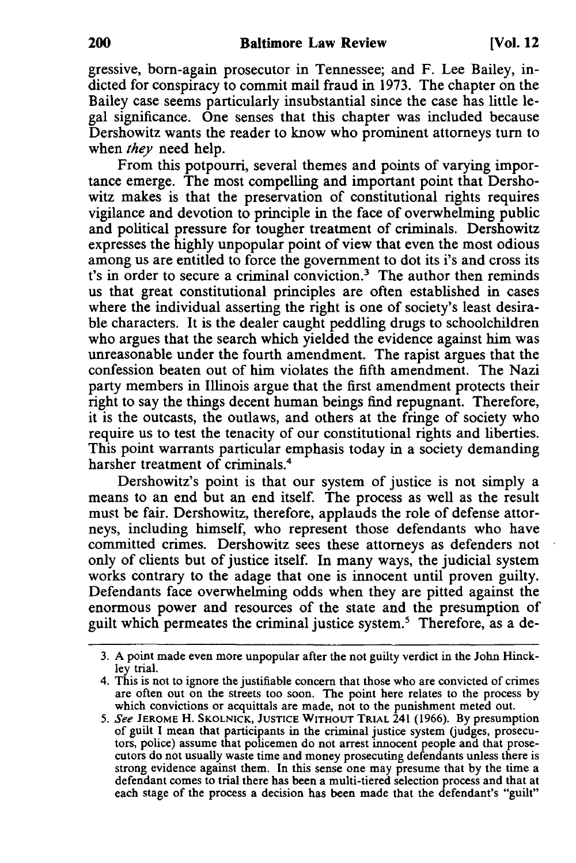gressive, born-again prosecutor in Tennessee; and F. Lee Bailey, indicted for conspiracy to commit mail fraud in 1973. The chapter on the Bailey case seems particularly insubstantial since the case has little legal significance. One senses that this chapter was included because Dershowitz wants the reader to know who prominent attorneys turn to when *they* need help.

From this potpourri, several themes and points of varying importance emerge. The most compelling and important point that Dershowitz makes is that the preservation of constitutional rights requires vigilance and devotion to principle in the face of overwhelming public and political pressure for tougher treatment of criminals. Dershowitz expresses the highly unpopular point of view that even the most odious among us are entitled to force the government to dot its i's and cross its t's in order to secure a criminal conviction.<sup>3</sup> The author then reminds us that great constitutional principles are often established in cases where the individual asserting the right is one of society's least desirable characters. It is the dealer caught peddling drugs to schoolchildren who argues that the search which yielded the evidence against him was unreasonable under the fourth amendment. The rapist argues that the confession beaten out of him violates the fifth amendment. The Nazi party members in Illinois argue that the first amendment protects their right to say the things decent human beings find repugnant. Therefore, it is the outcasts, the outlaws, and others at the fringe of society who require us to test the tenacity of our constitutional rights and liberties. This point warrants particular emphasis today in a society demanding harsher treatment of criminals.<sup>4</sup>

Dershowitz's point is that our system of justice is not simply a means to an end but an end itself. The process as well as the result must be fair. Dershowitz, therefore, applauds the role of defense attorneys, including himself, who represent those defendants who have committed crimes. Dershowitz sees these attorneys as defenders not only of clients but of justice itself. In many ways, the judicial system works contrary to the adage that one is innocent until proven guilty. Defendants face overwhelming odds when they are pitted against the enormous power and resources of the state and the presumption of guilt which permeates the criminal justice system.5 Therefore, as a de-

<sup>3.</sup> A point made even more unpopular after the not guilty verdict in the John Hinckley trial.

<sup>4.</sup> This is not to ignore the justifiable concern that those who are convicted of crimes are often out on the streets too soon. The point here relates to the process by which convictions or acquittals are made, not to the punishment meted out.

<sup>5.</sup> See **JEROME** H. **SKOLNICK, JUSTICE WITHOUT TRIAL** 241 (1966). By presumption of guilt I mean that participants in the criminal justice system (judges, prosecutors, police) assume that policemen do not arrest innocent people and that prosecutors do not usually waste time and money prosecuting defendants unless there is strong evidence against them. In this sense one may presume that **by** the time a defendant comes to trial there has been a multi-tiered selection process and that at each stage of the process a decision has been made that the defendant's "guilt"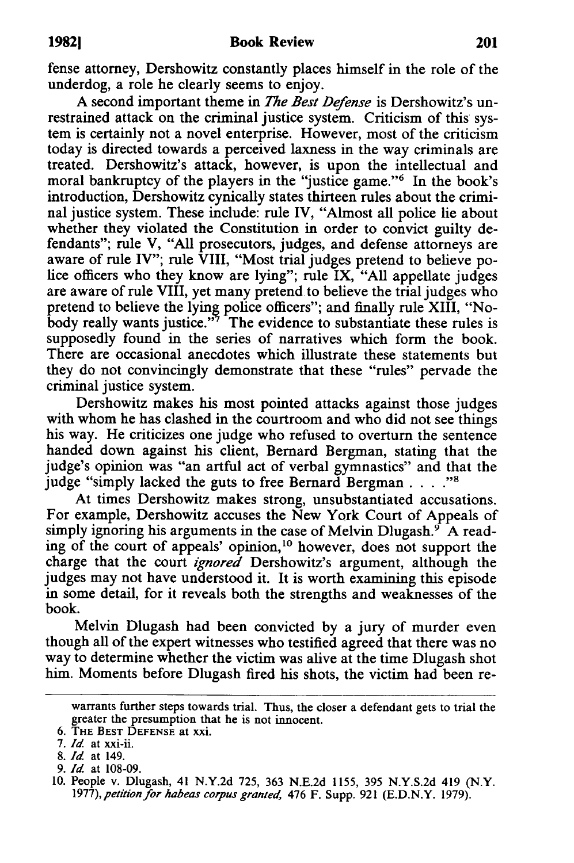fense attorney, Dershowitz constantly places himself in the role of the underdog, a role he clearly seems to enjoy.

A second important theme in *The Best Defense* is Dershowitz's unrestrained attack on the criminal justice system. Criticism of this system is certainly not a novel enterprise. However, most of the criticism today is directed towards a perceived laxness in the way criminals are treated. Dershowitz's attack, however, is upon the intellectual and moral bankruptcy of the players in the "justice game."6 In the book's introduction, Dershowitz cynically states thirteen rules about the criminal justice system. These include: rule IV, "Almost all police lie about whether they violated the Constitution in order to convict guilty defendants"; rule V, "All prosecutors, judges, and defense attorneys are aware of rule IV"; rule VIII, "Most trial judges pretend to believe police officers who they know are lying"; rule IX, "All appellate judges are aware of rule VIII, yet many pretend to believe the trial judges who pretend to believe the lying police officers"; and finally rule XIII, "Nobody really wants justice."<sup>7</sup> The evidence to substantiate these rules is supposedly found in the series of narratives which form the book. There are occasional anecdotes which illustrate these statements but they do not convincingly demonstrate that these "rules" pervade the criminal justice system.

Dershowitz makes his most pointed attacks against those judges with whom he has clashed in the courtroom and who did not see things his way. He criticizes one judge who refused to overturn the sentence handed down against his client, Bernard Bergman, stating that the judge's opinion was "an artful act of verbal gymnastics" and that the judge "simply lacked the guts to free Bernard Bergman . . . . "<sup>8</sup>

At times Dershowitz makes strong, unsubstantiated accusations. For example, Dershowitz accuses the New York Court of Appeals of simply ignoring his arguments in the case of Melvin Dlugash.<sup>9</sup> A reading of the court of appeals' opinion,<sup>10</sup> however, does not support the charge that the court *ignored* Dershowitz's argument, although the judges may not have understood it. It is worth examining this episode in some detail, for it reveals both the strengths and weaknesses of the book.

Melvin Dlugash had been convicted by a jury of murder even though all of the expert witnesses who testified agreed that there was no way to determine whether the victim was alive at the time Dlugash shot him. Moments before Dlugash fired his shots, the victim had been re-

warrants further steps towards trial. Thus, the closer a defendant gets to trial the greater the presumption that he is not innocent.

<sup>6.</sup> **THE BEST DEFENSE** at xxi.

**<sup>7.</sup>** *Id* at xxi-ii.

**<sup>8.</sup>** *Id* at 149.

<sup>9.</sup> *Id* at **108-09.**

**<sup>10.</sup>** People v. Dlugash, 41 N.Y.2d 725, **363** N.E.2d **1155, 395** N.Y.S.2d 419 (N.Y. *1977), petition for habeas corpus granted,* 476 F. Supp. 921 (E.D.N.Y. 1979).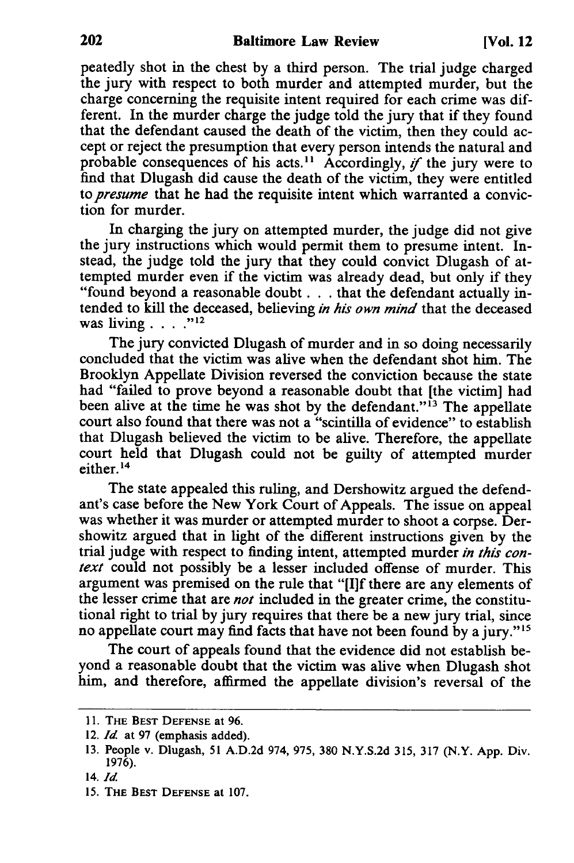peatedly shot in the chest **by** a third person. The trial judge charged the jury with respect to both murder and attempted murder, but the charge concerning the requisite intent required for each crime was different. In the murder charge the judge told the jury that if they found that the defendant caused the death of the victim, then they could accept or reject the presumption that every person intends the natural and probable consequences of his acts.<sup>11</sup> Accordingly, *if* the jury were to find that Dlugash did cause the death of the victim, they were entitled *to presume* that he had the requisite intent which warranted a conviction for murder.

In charging the jury on attempted murder, the judge did not give the jury instructions which would permit them to presume intent. Instead, the judge told the jury that they could convict Dlugash of attempted murder even if the victim was already dead, but only if they "found beyond a reasonable doubt. **. .** that the defendant actually intended to kill the deceased, believing *in his own mind* that the deceased was living **.... "**

The jury convicted Dlugash of murder and in so doing necessarily concluded that the victim was alive when the defendant shot him. The Brooklyn Appellate Division reversed the conviction because the state had "failed to prove beyond a reasonable doubt that [the victim] had been alive at the time he was shot by the defendant."<sup>13</sup> The appellate court also found that there was not a "scintilla of evidence" to establish that Dlugash believed the victim to be alive. Therefore, the appellate court held that Dlugash could not be guilty of attempted murder either.<sup>14</sup>

The state appealed this ruling, and Dershowitz argued the defendant's case before the New York Court of Appeals. The issue on appeal was whether it was murder or attempted murder to shoot a corpse. Dershowitz argued that in light of the different instructions given by the trial judge with respect to finding intent, attempted murder *in this context* could not possibly be a lesser included offense of murder. This argument was premised on the rule that "[I]f there are any elements of the lesser crime that are *not* included in the greater crime, the constitutional right to trial by jury requires that there be a new jury trial, since no appellate court may find facts that have not been found by a jury."<sup>15</sup>

The court of appeals found that the evidence did not establish beyond a reasonable doubt that the victim was alive when Dlugash shot him, and therefore, affirmed the appellate division's reversal of the

**<sup>11.</sup> THE BEST DEFENSE** at **96.**

<sup>12.</sup> *Id* at 97 (emphasis added).

**<sup>13.</sup>** People v. Dlugash, **51** A.D.2d 974, 975, **380** N.Y.S.2d 315, **317** (N.Y. App. Div. 1976).

<sup>14.</sup> *Id*

<sup>15.</sup> THE **BEST DEFENSE** at 107.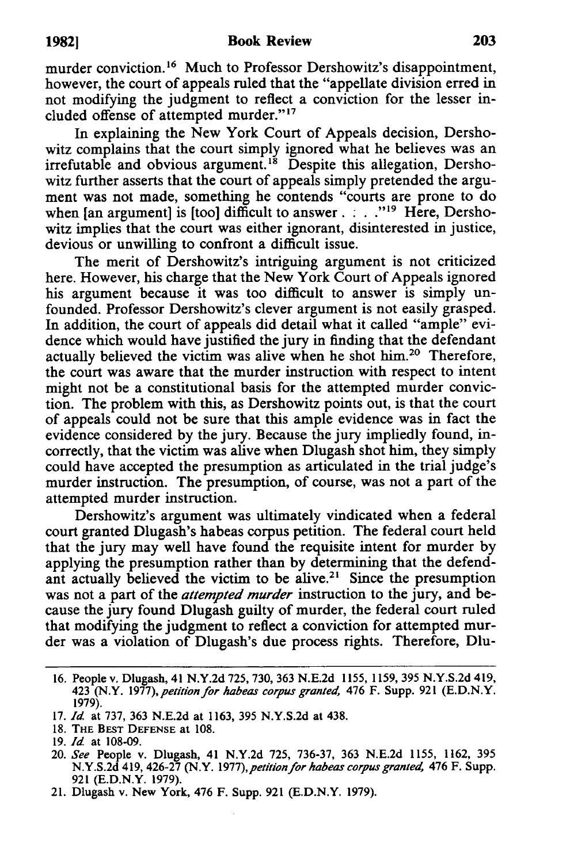murder conviction.<sup>16</sup> Much to Professor Dershowitz's disappointment, however, the court of appeals ruled that the "appellate division erred in not modifying the judgment to reflect a conviction for the lesser included offense of attempted murder."<sup>17</sup>

In explaining the New York Court of Appeals decision, Dershowitz complains that the court simply ignored what he believes was an irrefutable and obvious argument.<sup>18</sup> Despite this allegation, Dershowitz further asserts that the court of appeals simply pretended the argument was not made, something he contends "courts are prone to do when [an argument] is [too] difficult to answer.  $\therefore$  ...<sup>919</sup> Here, Dershowitz implies that the court was either ignorant, disinterested in justice, devious or unwilling to confront a difficult issue.

The merit of Dershowitz's intriguing argument is not criticized here. However, his charge that the New York Court of Appeals ignored his argument because it was too difficult to answer is simply unfounded. Professor Dershowitz's clever argument is not easily grasped. In addition, the court of appeals did detail what it called "ample" evidence which would have justified the jury in finding that the defendant actually believed the victim was alive when he shot him.<sup>20</sup> Therefore the court was aware that the murder instruction with respect to intent might not be a constitutional basis for the attempted murder conviction. The problem with this, as Dershowitz points out, is that the court of appeals could not be sure that this ample evidence was in fact the evidence considered by the jury. Because the jury impliedly found, incorrectly, that the victim was alive when Dlugash shot him, they simply could have accepted the presumption as articulated in the trial judge's murder instruction. The presumption, of course, was not a part of the attempted murder instruction.

Dershowitz's argument was ultimately vindicated when a federal court granted Dlugash's habeas corpus petition. The federal court held that the jury may well have found the requisite intent for murder by applying the presumption rather than by determining that the defendant actually believed the victim to be alive.<sup>21</sup> Since the presumption was not a part of the *attempted murder* instruction to the jury, and because the jury found Dlugash guilty of murder, the federal court ruled that modifying the judgment to reflect a conviction for attempted murder was a violation of Dlugash's due process rights. Therefore, Dlu-

<sup>16.</sup> People v. Dlugash, 41 N.Y.2d 725, 730, 363 N.E.2d 1155, 1159, 395 N.Y.S.2d 419, 423 (N.Y. 1977), petition for habeas corpus granted, 476 F. Supp. 921 (E.D.N.Y. 1979).

<sup>17.</sup> *Id* at 737, 363 N.E.2d at 1163, 395 N.Y.S.2d at 438.

**<sup>18.</sup>** THE **BEST DEFENSE** at **108.**

<sup>19.</sup> *Id* at 108-09.

<sup>20.</sup> *See* People v. Dlugash, 41 N.Y.2d 725, 736-37, 363 N.E.2d 1155, 1162, 395 N.Y.S.2d 419, 426-27 (N.Y. *1977),petitionfor habeas corpus granted,* 476 F. Supp. 921 (E.D.N.Y. 1979).

<sup>21.</sup> Dlugash v. New York, 476 F. Supp. 921 (E.D.N.Y. 1979).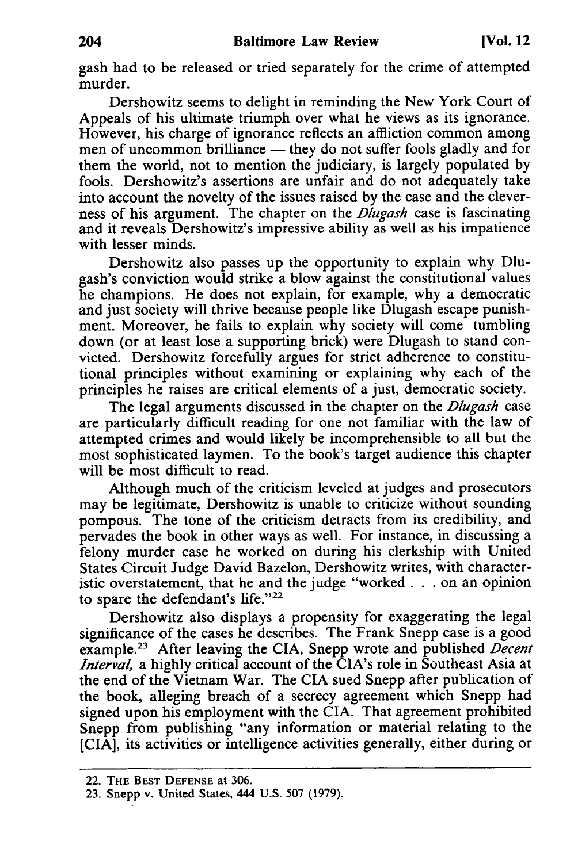gash had to be released or tried separately for the crime of attempted murder.

Dershowitz seems to delight in reminding the New York Court of Appeals of his ultimate triumph over what he views as its ignorance. However, his charge of ignorance reflects an affliction common among men of uncommon brilliance  $-$  they do not suffer fools gladly and for them the world, not to mention the judiciary, is largely populated by fools. Dershowitz's assertions are unfair and do not adequately take into account the novelty of the issues raised by the case and the cleverness of his argument. The chapter on the *Dlugash* case is fascinating and it reveals Dershowitz's impressive ability as well as his impatience with lesser minds.

Dershowitz also passes up the opportunity to explain why Dlugash's conviction would strike a blow against the constitutional values he champions. He does not explain, for example, why a democratic and just society will thrive because people like Dlugash escape punishment. Moreover, he fails to explain why society will come tumbling down (or at least lose a supporting brick) were Dlugash to stand convicted. Dershowitz forcefully argues for strict adherence to constitutional principles without examining or explaining why each of the principles he raises are critical elements of a just, democratic society.

The legal arguments discussed in the chapter on the *Dlugash* case are particularly difficult reading for one not familiar with the law of attempted crimes and would likely be incomprehensible to all but the most sophisticated laymen. To the book's target audience this chapter will be most difficult to read.

Although much of the criticism leveled at judges and prosecutors may be legitimate, Dershowitz is unable to criticize without sounding pompous. The tone of the criticism detracts from its credibility, and pervades the book in other ways as well. For instance, in discussing a felony murder case he worked on during his clerkship with United States Circuit Judge David Bazelon, Dershowitz writes, with characteristic overstatement, that he and the judge "worked. **.** . on an opinion to spare the defendant's life."22

Dershowitz also displays a propensity for exaggerating the legal significance of the cases he describes. The Frank Snepp case is a good example.23 After leaving the CIA, Snepp wrote and published *Decent Interval,* a highly critical account of the CIA's role in Southeast Asia at the end of the Vietnam War. The CIA sued Snepp after publication of the book, alleging breach of a secrecy agreement which Snepp had signed upon his employment with the CIA. That agreement prohibited Snepp from publishing "any information or material relating to the [CIA], its activities or intelligence activities generally, either during or

<sup>22.</sup> **THE BEST DEFENSE** at **306.**

**<sup>23.</sup>** Snepp v. United States, 444 U.S. 507 **(1979).**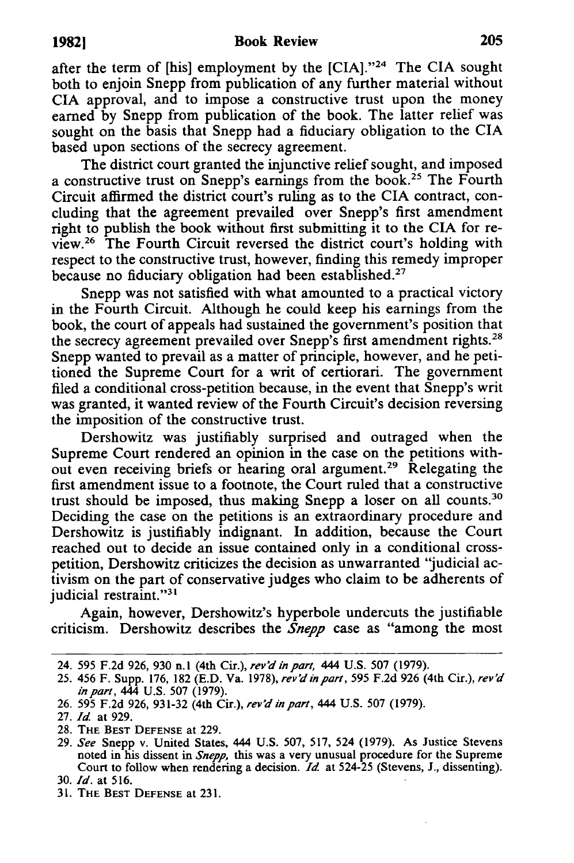after the term of [his] employment by the **[CIA]."24** The **CIA** sought both to enjoin Snepp from publication of any further material without CIA approval, and to impose a constructive trust upon the money earned by Snepp from publication of the book. The latter relief was sought on the basis that Snepp had a fiduciary obligation to the CIA based upon sections of the secrecy agreement.

The district court granted the injunctive relief sought, and imposed a constructive trust on Snepp's earnings from the book.25 The Fourth Circuit affirmed the district court's ruling as to the CIA contract, concluding that the agreement prevailed over Snepp's first amendment right to publish the book without first submitting it to the CIA for review.26 The Fourth Circuit reversed the district court's holding with respect to the constructive trust, however, finding this remedy improper because no fiduciary obligation had been established.<sup>27</sup>

Snepp was not satisfied with what amounted to a practical victory in the Fourth Circuit. Although he could keep his earnings from the book, the court of appeals had sustained the government's position that the secrecy agreement prevailed over Snepp's first amendment rights.<sup>28</sup> Snepp wanted to prevail as a matter of principle, however, and he petitioned the Supreme Court for a writ of certiorari. The government filed a conditional cross-petition because, in the event that Snepp's writ was granted, it wanted review of the Fourth Circuit's decision reversing the imposition of the constructive trust.

Dershowitz was justifiably surprised and outraged when the Supreme Court rendered an opinion in the case on the petitions without even receiving briefs or hearing oral argument.<sup>29</sup> Relegating the first amendment issue to a footnote, the Court ruled that a constructive trust should be imposed, thus making Snepp a loser on all counts.30 Deciding the case on the petitions is an extraordinary procedure and Dershowitz is justifiably indignant. In addition, because the Court reached out to decide an issue contained only in a conditional crosspetition, Dershowitz criticizes the decision as unwarranted "judicial activism on the part of conservative judges who claim to be adherents of judicial restraint."<sup>31</sup>

Again, however, Dershowitz's hyperbole undercuts the justifiable criticism. Dershowitz describes the *Snepp* case as "among the most

<sup>24. 595</sup> F.2d 926, 930 **n.l** (4th Cir.), *rev'd in part,* 444 U.S. 507 (1979).

<sup>25. 456</sup> F. Supp. 176, 182 (E.D. Va. 1978), *rev'd in part,* 595 F.2d 926 (4th Cir.), *rev'd inpart,* 444 U.S. 507 (1979).

<sup>26. 595</sup> F.2d 926, 931-32 (4th Cir.), *rev'd in part,* 444 U.S. 507 (1979).

<sup>27.</sup> *Id* at 929.

<sup>28.</sup> THE BEST DEFENSE at 229.

<sup>29.</sup> *See* Snepp v. United States, 444 U.S. 507, 517, 524 (1979). As Justice Stevens noted in his dissent in *Snepp,* this was a very unusual procedure for the Supreme Court to follow when rendering a decision. *Id* at 524-25 (Stevens, J., dissenting).

<sup>30.</sup> *Id.* at 516.

<sup>31.</sup> **THE** BEST DEFENSE at 231.